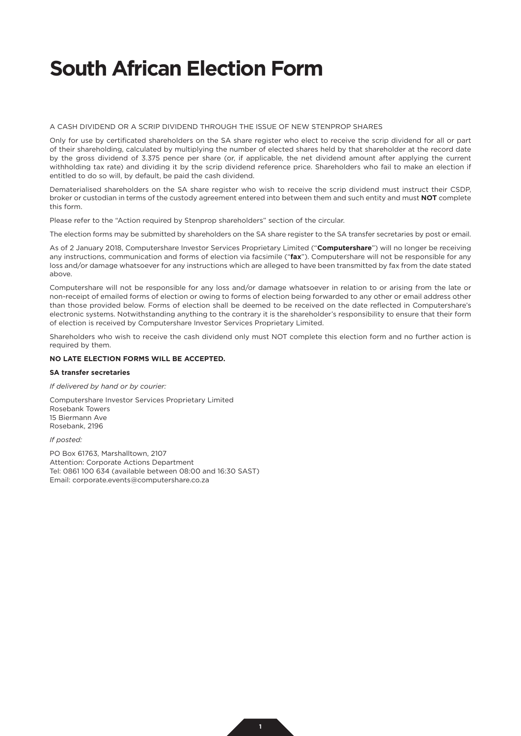## **South African Election Form**

A CASH DIVIDEND OR A SCRIP DIVIDEND THROUGH THE ISSUE OF NEW STENPROP SHARES

Only for use by certificated shareholders on the SA share register who elect to receive the scrip dividend for all or part of their shareholding, calculated by multiplying the number of elected shares held by that shareholder at the record date by the gross dividend of 3.375 pence per share (or, if applicable, the net dividend amount after applying the current withholding tax rate) and dividing it by the scrip dividend reference price. Shareholders who fail to make an election if entitled to do so will, by default, be paid the cash dividend.

Dematerialised shareholders on the SA share register who wish to receive the scrip dividend must instruct their CSDP, broker or custodian in terms of the custody agreement entered into between them and such entity and must **NOT** complete this form.

Please refer to the "Action required by Stenprop shareholders" section of the circular.

The election forms may be submitted by shareholders on the SA share register to the SA transfer secretaries by post or email.

As of 2 January 2018, Computershare Investor Services Proprietary Limited ("**Computershare**") will no longer be receiving any instructions, communication and forms of election via facsimile ("**fax**"). Computershare will not be responsible for any loss and/or damage whatsoever for any instructions which are alleged to have been transmitted by fax from the date stated above.

Computershare will not be responsible for any loss and/or damage whatsoever in relation to or arising from the late or non-receipt of emailed forms of election or owing to forms of election being forwarded to any other or email address other than those provided below. Forms of election shall be deemed to be received on the date reflected in Computershare's electronic systems. Notwithstanding anything to the contrary it is the shareholder's responsibility to ensure that their form of election is received by Computershare Investor Services Proprietary Limited.

Shareholders who wish to receive the cash dividend only must NOT complete this election form and no further action is required by them.

### **NO LATE ELECTION FORMS WILL BE ACCEPTED.**

#### **SA transfer secretaries**

*If delivered by hand or by courier:*

Computershare Investor Services Proprietary Limited Rosebank Towers 15 Biermann Ave Rosebank, 2196

*If posted:*

PO Box 61763, Marshalltown, 2107 Attention: Corporate Actions Department Tel: 0861 100 634 (available between 08:00 and 16:30 SAST) Email: corporate.events@computershare.co.za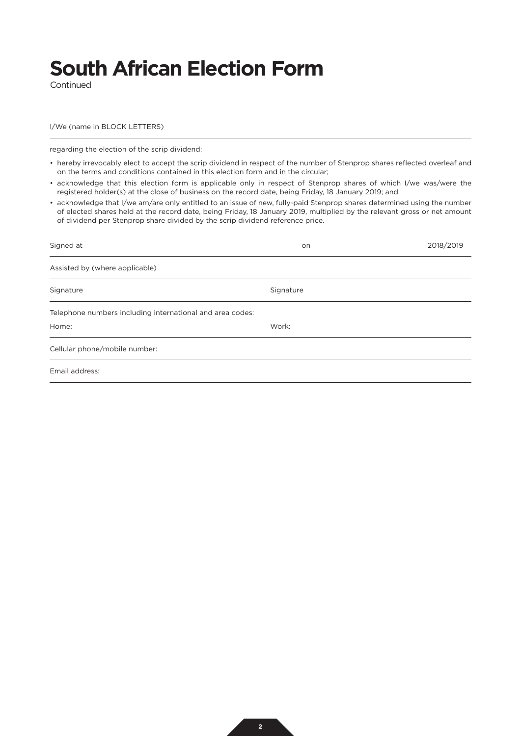# **South African Election Form**

Continued

#### I/We (name in BLOCK LETTERS)

regarding the election of the scrip dividend:

- hereby irrevocably elect to accept the scrip dividend in respect of the number of Stenprop shares reflected overleaf and on the terms and conditions contained in this election form and in the circular;
- acknowledge that this election form is applicable only in respect of Stenprop shares of which I/we was/were the registered holder(s) at the close of business on the record date, being Friday, 18 January 2019; and
- acknowledge that I/we am/are only entitled to an issue of new, fully-paid Stenprop shares determined using the number of elected shares held at the record date, being Friday, 18 January 2019, multiplied by the relevant gross or net amount of dividend per Stenprop share divided by the scrip dividend reference price.

| Signed at                                                 | on        | 2018/2019 |
|-----------------------------------------------------------|-----------|-----------|
| Assisted by (where applicable)                            |           |           |
| Signature                                                 | Signature |           |
| Telephone numbers including international and area codes: |           |           |
| Home:                                                     | Work:     |           |
| Cellular phone/mobile number:                             |           |           |
| Email address:                                            |           |           |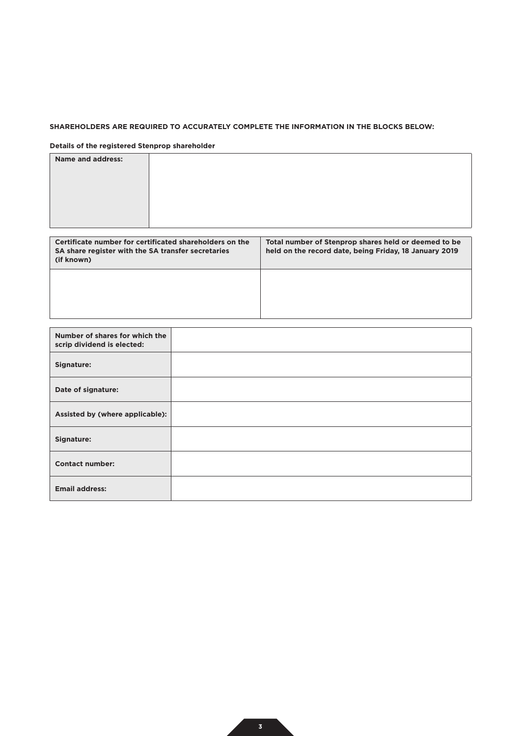## **SHAREHOLDERS ARE REQUIRED TO ACCURATELY COMPLETE THE INFORMATION IN THE BLOCKS BELOW:**

### **Details of the registered Stenprop shareholder**

| <b>Name and address:</b> |  |
|--------------------------|--|
|                          |  |
|                          |  |
|                          |  |
|                          |  |
|                          |  |

| Certificate number for certificated shareholders on the<br>SA share register with the SA transfer secretaries<br>(if known) | Total number of Stenprop shares held or deemed to be<br>held on the record date, being Friday, 18 January 2019 |
|-----------------------------------------------------------------------------------------------------------------------------|----------------------------------------------------------------------------------------------------------------|
|                                                                                                                             |                                                                                                                |

| Number of shares for which the<br>scrip dividend is elected: |  |
|--------------------------------------------------------------|--|
| Signature:                                                   |  |
| Date of signature:                                           |  |
| Assisted by (where applicable):                              |  |
| Signature:                                                   |  |
| <b>Contact number:</b>                                       |  |
| <b>Email address:</b>                                        |  |